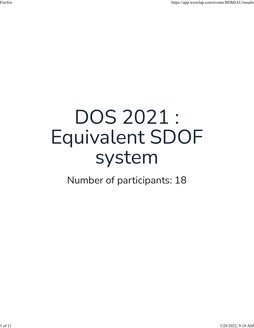## DOS 2021 : Equivalent SDOF system

Number of participants: 18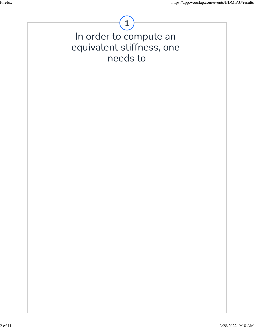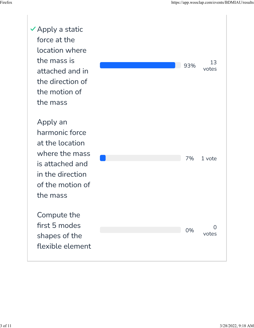$\vee$  Apply a static force at the location where the mass is attached and in the direction of the motion of the mass

> Apply an harmonic force at the location where the mass is attached and in the direction of the motion of the mass

> Compute the first 5 modes shapes of the flexible element

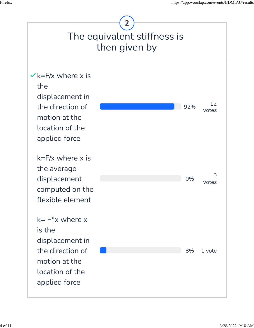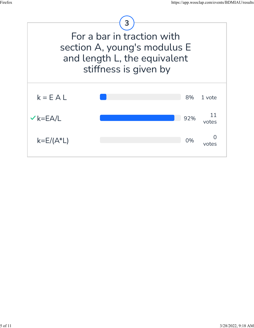

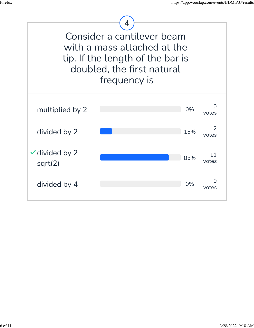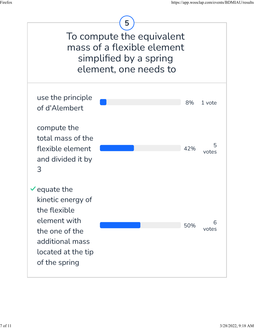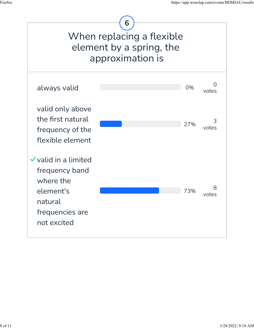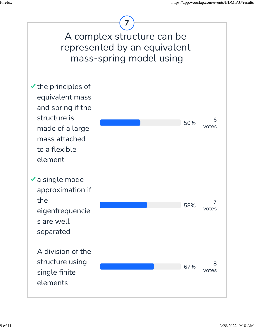